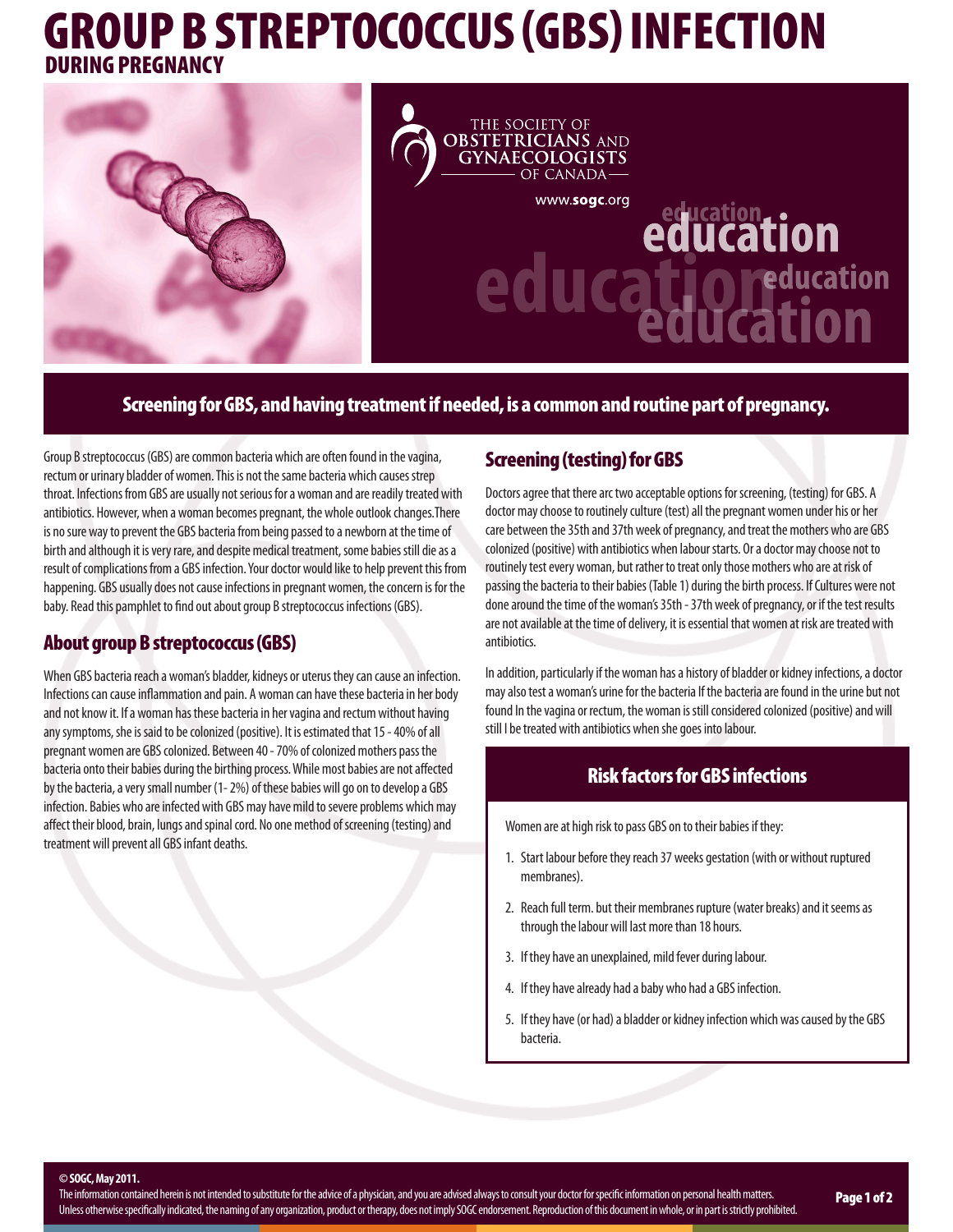# GROUP B STREPTOCOCCUS (GBS) INFECTION DURING PREGNANCY



## Screening for GBS, and having treatment if needed, is a common and routine part of pregnancy.

Group B streptococcus (GBS) are common bacteria which are often found in the vagina, rectum or urinary bladder of women. This is not the same bacteria which causes strep throat. Infections from GBS are usually not serious for a woman and are readily treated with antibiotics. However, when a woman becomes pregnant, the whole outlook changes.There is no sure way to prevent the GBS bacteria from being passed to a newborn at the time of birth and although it is very rare, and despite medical treatment, some babies still die as a result of complications from a GBS infection. Your doctor would like to help prevent this from happening. GBS usually does not cause infections in pregnant women, the concern is for the baby. Read this pamphlet to find out about group B streptococcus infections (GBS).

#### About group B streptococcus (GBS)

When GBS bacteria reach a woman's bladder, kidneys or uterus they can cause an infection. Infections can cause inflammation and pain. A woman can have these bacteria in her body and not know it. If a woman has these bacteria in her vagina and rectum without having any symptoms, she is said to be colonized (positive). It is estimated that 15 - 40% of all pregnant women are GBS colonized. Between 40 - 70% of colonized mothers pass the bacteria onto their babies during the birthing process. While most babies are not affected by the bacteria, a very small number (1- 2%) of these babies will go on to develop a GBS infection. Babies who are infected with GBS may have mild to severe problems which may affect their blood, brain, lungs and spinal cord. No one method of screening (testing) and treatment will prevent all GBS infant deaths.

# Screening (testing) for GBS

Doctors agree that there arc two acceptable options for screening, (testing) for GBS. A doctor may choose to routinely culture (test) all the pregnant women under his or her care between the 35th and 37th week of pregnancy, and treat the mothers who are GBS colonized (positive) with antibiotics when labour starts. Or a doctor may choose not to routinely test every woman, but rather to treat only those mothers who are at risk of passing the bacteria to their babies (Table 1) during the birth process. If Cultures were not done around the time of the woman's 35th - 37th week of pregnancy, or if the test results are not available at the time of delivery, it is essential that women at risk are treated with antibiotics.

In addition, particularly if the woman has a history of bladder or kidney infections, a doctor may also test a woman's urine for the bacteria If the bacteria are found in the urine but not found In the vagina or rectum, the woman is still considered colonized (positive) and will still I be treated with antibiotics when she goes into labour.

#### Risk factors for GBS infections

Women are at high risk to pass GBS on to their babies if they:

- 1. Start labour before they reach 37 weeks gestation (with or without ruptured membranes).
- 2. Reach full term. but their membranes rupture (water breaks) and it seems as through the labour will last more than 18 hours.
- 3. If they have an unexplained, mild fever during labour.
- 4. If they have already had a baby who had a GBS infection.
- 5. If they have (or had) a bladder or kidney infection which was caused by the GBS bacteria.

**© SOGC, May 2011.**